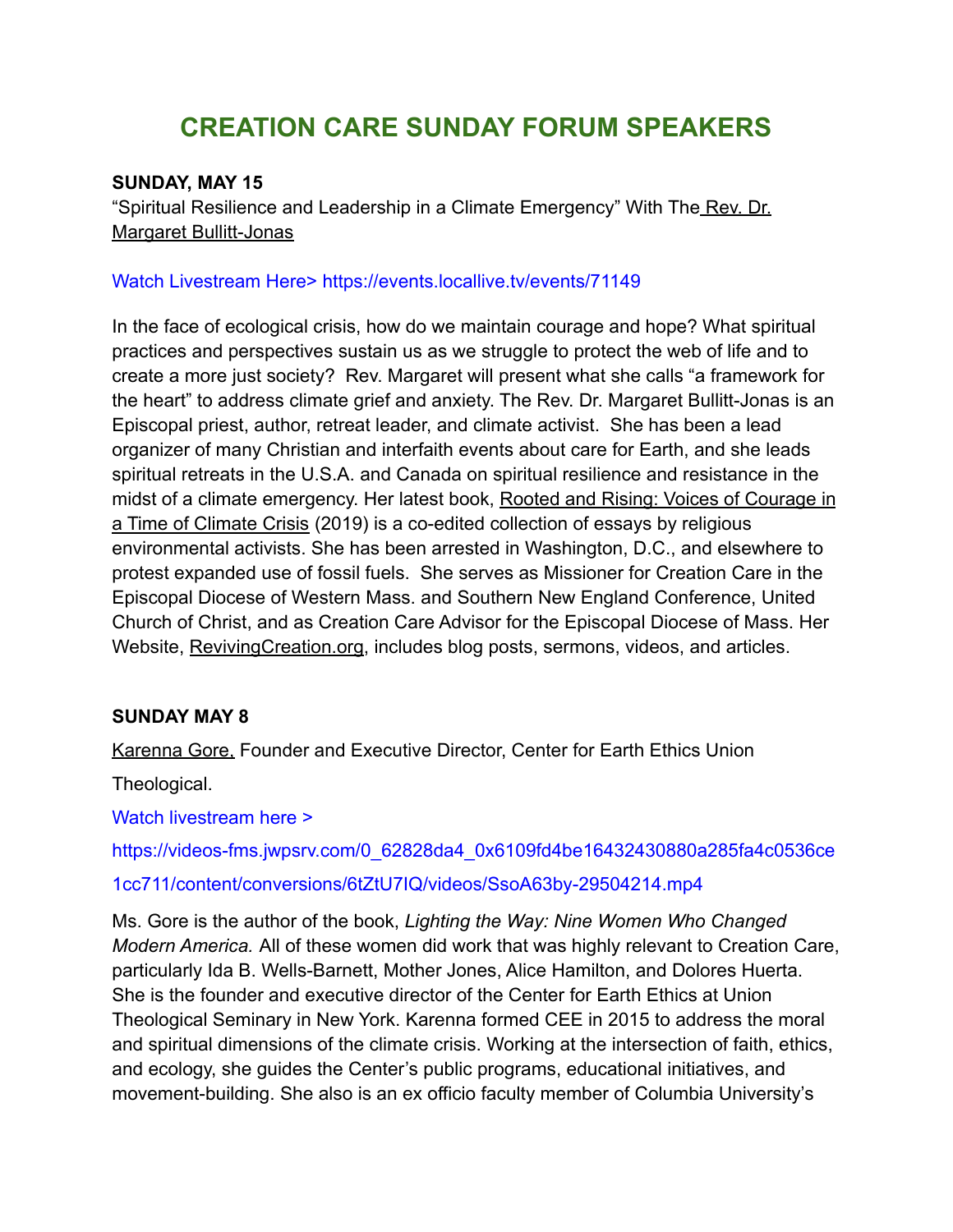# **CREATION CARE SUNDAY FORUM SPEAKERS**

## **SUNDAY, MAY 15**

"Spiritual Resilience and Leadership in a Climate Emergency" With The [Rev. Dr.](https://www.episcopalnewsservice.org/2021/10/07/qa-the-rev-margaret-bullitt-jonas-on-living-into-the-climate-crisis-with-resilience/) [Margaret Bullitt-Jonas](https://www.episcopalnewsservice.org/2021/10/07/qa-the-rev-margaret-bullitt-jonas-on-living-into-the-climate-crisis-with-resilience/)

## Watch Livestream Here> https://events.locallive.tv/events/71149

In the face of ecological crisis, how do we maintain courage and hope? What spiritual practices and perspectives sustain us as we struggle to protect the web of life and to create a more just society? Rev. Margaret will present what she calls "a framework for the heart" to address climate grief and anxiety. The Rev. Dr. Margaret Bullitt-Jonas is an Episcopal priest, author, retreat leader, and climate activist. She has been a lead organizer of many Christian and interfaith events about care for Earth, and she leads spiritual retreats in the U.S.A. and Canada on spiritual resilience and resistance in the midst of a climate emergency. Her latest book, Rooted [and Rising: Voices of Courage in](https://rowman.com/ISBN/9781538127759/Rooted-and-Rising-Voices-of-Courage-in-a-Time-of-Climate-Crisis) [a Time of Climate Crisis](https://rowman.com/ISBN/9781538127759/Rooted-and-Rising-Voices-of-Courage-in-a-Time-of-Climate-Crisis) (2019) is a co-edited collection of essays by religious environmental activists. She has been arrested in Washington, D.C., and elsewhere to protest expanded use of fossil fuels. She serves as Missioner for Creation Care in the Episcopal Diocese of Western Mass. and Southern New England Conference, United Church of Christ, and as Creation Care Advisor for the Episcopal Diocese of Mass. Her Website, [RevivingCreation.org,](http://revivingcreation.org/) includes blog posts, sermons, videos, and articles.

# **SUNDAY MAY 8**

[Karenna Gore,](https://centerforearthethics.org/karenna-gore/) Founder and Executive Director, Center for Earth Ethics Union

Theological.

Watch livestream here >

https://videos-fms.jwpsrv.com/0\_62828da4\_0x6109fd4be16432430880a285fa4c0536ce

#### 1cc711/content/conversions/6tZtU7IQ/videos/SsoA63by-29504214.mp4

Ms. Gore is the author of the book, *Lighting the Way: Nine Women Who Changed Modern America.* All of these women did work that was highly relevant to Creation Care, particularly Ida B. Wells-Barnett, Mother Jones, Alice Hamilton, and Dolores Huerta. She is the founder and executive director of the Center for Earth Ethics at Union Theological Seminary in New York. Karenna formed CEE in 2015 to address the moral and spiritual dimensions of the climate crisis. Working at the intersection of faith, ethics, and ecology, she guides the Center's public programs, educational initiatives, and movement-building. She also is an ex officio faculty member of Columbia University's